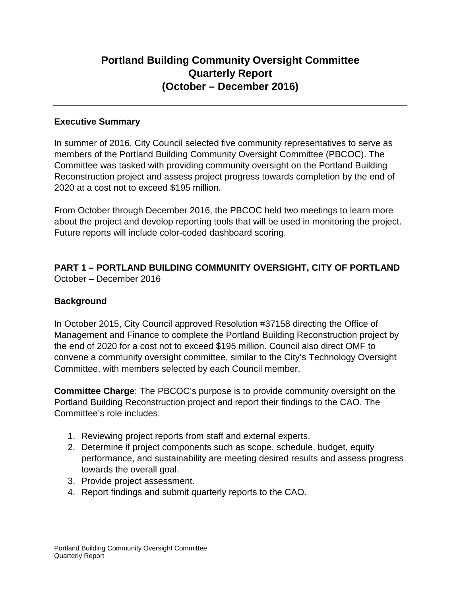# **Portland Building Community Oversight Committee Quarterly Report (October – December 2016)**

# **Executive Summary**

In summer of 2016, City Council selected five community representatives to serve as members of the Portland Building Community Oversight Committee (PBCOC). The Committee was tasked with providing community oversight on the Portland Building Reconstruction project and assess project progress towards completion by the end of 2020 at a cost not to exceed \$195 million.

From October through December 2016, the PBCOC held two meetings to learn more about the project and develop reporting tools that will be used in monitoring the project. Future reports will include color-coded dashboard scoring.

**PART 1 – PORTLAND BUILDING COMMUNITY OVERSIGHT, CITY OF PORTLAND** October – December 2016

# **Background**

In October 2015, City Council approved Resolution #37158 directing the Office of Management and Finance to complete the Portland Building Reconstruction project by the end of 2020 for a cost not to exceed \$195 million. Council also direct OMF to convene a community oversight committee, similar to the City's Technology Oversight Committee, with members selected by each Council member.

**Committee Charge**: The PBCOC's purpose is to provide community oversight on the Portland Building Reconstruction project and report their findings to the CAO. The Committee's role includes:

- 1. Reviewing project reports from staff and external experts.
- 2. Determine if project components such as scope, schedule, budget, equity performance, and sustainability are meeting desired results and assess progress towards the overall goal.
- 3. Provide project assessment.
- 4. Report findings and submit quarterly reports to the CAO.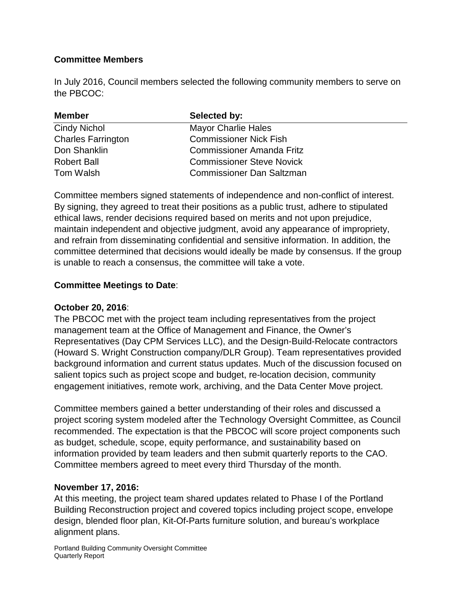# **Committee Members**

In July 2016, Council members selected the following community members to serve on the PBCOC:

| <b>Member</b>             | Selected by:                     |  |
|---------------------------|----------------------------------|--|
| <b>Cindy Nichol</b>       | <b>Mayor Charlie Hales</b>       |  |
| <b>Charles Farrington</b> | <b>Commissioner Nick Fish</b>    |  |
| Don Shanklin              | <b>Commissioner Amanda Fritz</b> |  |
| <b>Robert Ball</b>        | <b>Commissioner Steve Novick</b> |  |
| Tom Walsh                 | <b>Commissioner Dan Saltzman</b> |  |

Committee members signed statements of independence and non-conflict of interest. By signing, they agreed to treat their positions as a public trust, adhere to stipulated ethical laws, render decisions required based on merits and not upon prejudice, maintain independent and objective judgment, avoid any appearance of impropriety, and refrain from disseminating confidential and sensitive information. In addition, the committee determined that decisions would ideally be made by consensus. If the group is unable to reach a consensus, the committee will take a vote.

# **Committee Meetings to Date**:

# **October 20, 2016**:

The PBCOC met with the project team including representatives from the project management team at the Office of Management and Finance, the Owner's Representatives (Day CPM Services LLC), and the Design-Build-Relocate contractors (Howard S. Wright Construction company/DLR Group). Team representatives provided background information and current status updates. Much of the discussion focused on salient topics such as project scope and budget, re-location decision, community engagement initiatives, remote work, archiving, and the Data Center Move project.

Committee members gained a better understanding of their roles and discussed a project scoring system modeled after the Technology Oversight Committee, as Council recommended. The expectation is that the PBCOC will score project components such as budget, schedule, scope, equity performance, and sustainability based on information provided by team leaders and then submit quarterly reports to the CAO. Committee members agreed to meet every third Thursday of the month.

# **November 17, 2016:**

At this meeting, the project team shared updates related to Phase I of the Portland Building Reconstruction project and covered topics including project scope, envelope design, blended floor plan, Kit-Of-Parts furniture solution, and bureau's workplace alignment plans.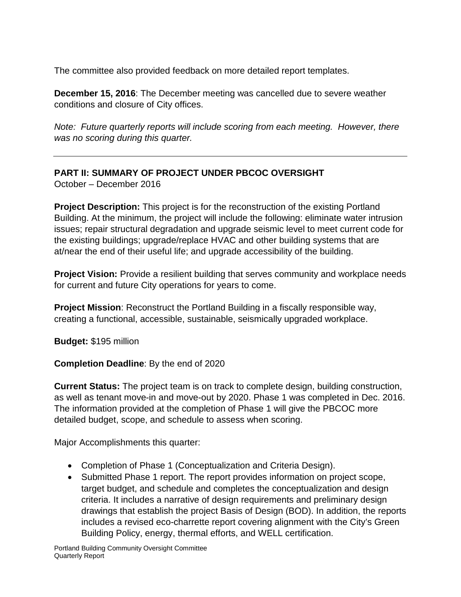The committee also provided feedback on more detailed report templates.

**December 15, 2016**: The December meeting was cancelled due to severe weather conditions and closure of City offices.

*Note: Future quarterly reports will include scoring from each meeting. However, there was no scoring during this quarter.*

# **PART II: SUMMARY OF PROJECT UNDER PBCOC OVERSIGHT**

October – December 2016

**Project Description:** This project is for the reconstruction of the existing Portland Building. At the minimum, the project will include the following: eliminate water intrusion issues; repair structural degradation and upgrade seismic level to meet current code for the existing buildings; upgrade/replace HVAC and other building systems that are at/near the end of their useful life; and upgrade accessibility of the building.

**Project Vision:** Provide a resilient building that serves community and workplace needs for current and future City operations for years to come.

**Project Mission**: Reconstruct the Portland Building in a fiscally responsible way, creating a functional, accessible, sustainable, seismically upgraded workplace.

**Budget:** \$195 million

**Completion Deadline**: By the end of 2020

**Current Status:** The project team is on track to complete design, building construction, as well as tenant move-in and move-out by 2020. Phase 1 was completed in Dec. 2016. The information provided at the completion of Phase 1 will give the PBCOC more detailed budget, scope, and schedule to assess when scoring.

Major Accomplishments this quarter:

- Completion of Phase 1 (Conceptualization and Criteria Design).
- Submitted Phase 1 report. The report provides information on project scope, target budget, and schedule and completes the conceptualization and design criteria. It includes a narrative of design requirements and preliminary design drawings that establish the project Basis of Design (BOD). In addition, the reports includes a revised eco-charrette report covering alignment with the City's Green Building Policy, energy, thermal efforts, and WELL certification.